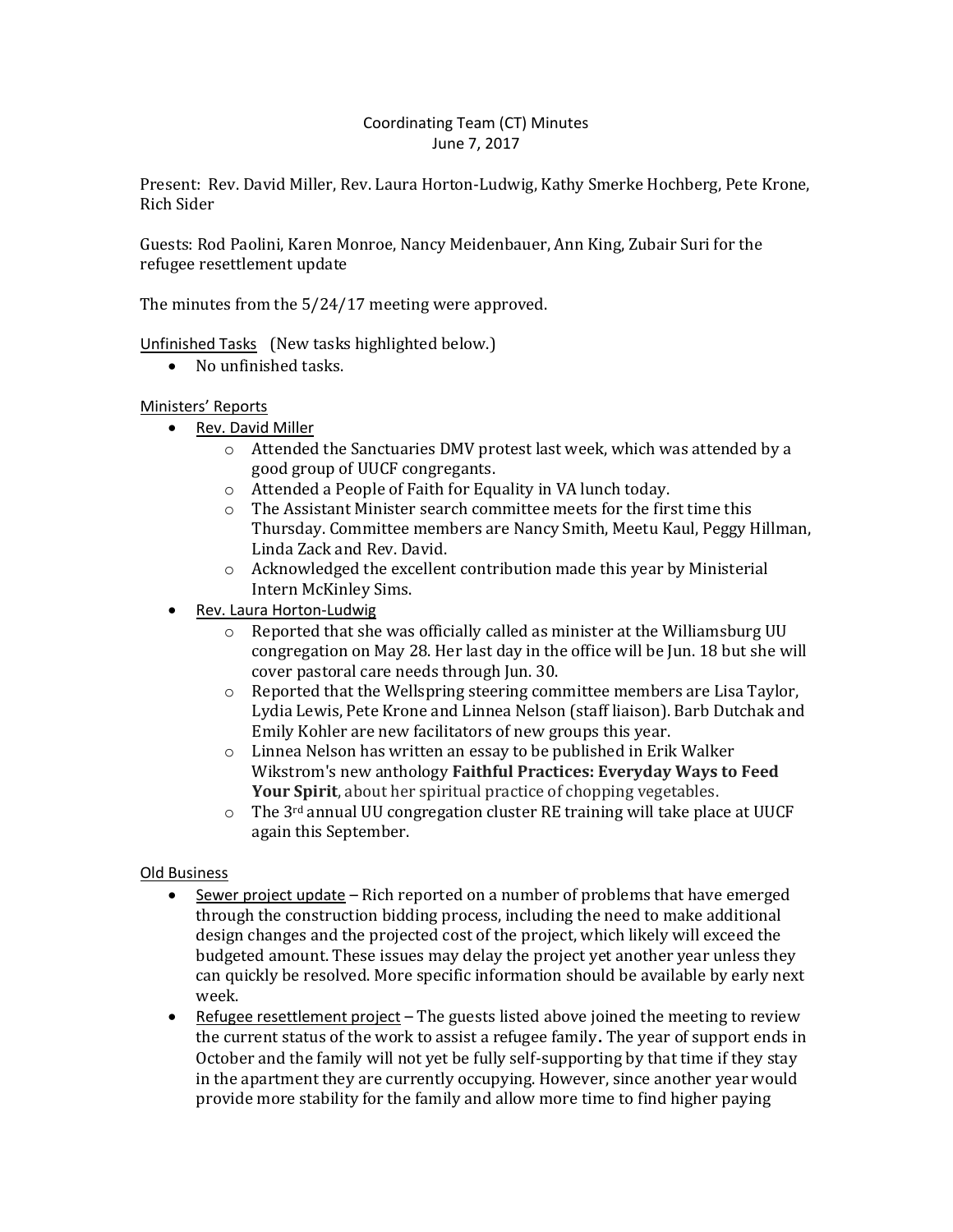## Coordinating Team (CT) Minutes June 7, 2017

Present: Rev. David Miller, Rev. Laura Horton-Ludwig, Kathy Smerke Hochberg, Pete Krone, Rich Sider

Guests: Rod Paolini, Karen Monroe, Nancy Meidenbauer, Ann King, Zubair Suri for the refugee resettlement update

The minutes from the 5/24/17 meeting were approved.

Unfinished Tasks (New tasks highlighted below.)

• No unfinished tasks.

# Ministers' Reports

- Rev. David Miller
	- o Attended the Sanctuaries DMV protest last week, which was attended by a good group of UUCF congregants.
	- o Attended a People of Faith for Equality in VA lunch today.
	- o The Assistant Minister search committee meets for the first time this Thursday. Committee members are Nancy Smith, Meetu Kaul, Peggy Hillman, Linda Zack and Rev. David.
	- $\circ$  Acknowledged the excellent contribution made this year by Ministerial Intern McKinley Sims.
- Rev. Laura Horton-Ludwig
	- o Reported that she was officially called as minister at the Williamsburg UU congregation on May 28. Her last day in the office will be Jun. 18 but she will cover pastoral care needs through Jun. 30.
	- o Reported that the Wellspring steering committee members are Lisa Taylor, Lydia Lewis, Pete Krone and Linnea Nelson (staff liaison). Barb Dutchak and Emily Kohler are new facilitators of new groups this year.
	- o Linnea Nelson has written an essay to be published in Erik Walker Wikstrom's new anthology **Faithful Practices: Everyday Ways to Feed Your Spirit**, about her spiritual practice of chopping vegetables.
	- $\circ$  The 3<sup>rd</sup> annual UU congregation cluster RE training will take place at UUCF again this September.

# Old Business

- Sewer project update Rich reported on a number of problems that have emerged through the construction bidding process, including the need to make additional design changes and the projected cost of the project, which likely will exceed the budgeted amount. These issues may delay the project yet another year unless they can quickly be resolved. More specific information should be available by early next week.
- **•** Refugee resettlement project The guests listed above joined the meeting to review the current status of the work to assist a refugee family**.** The year of support ends in October and the family will not yet be fully self-supporting by that time if they stay in the apartment they are currently occupying. However, since another year would provide more stability for the family and allow more time to find higher paying